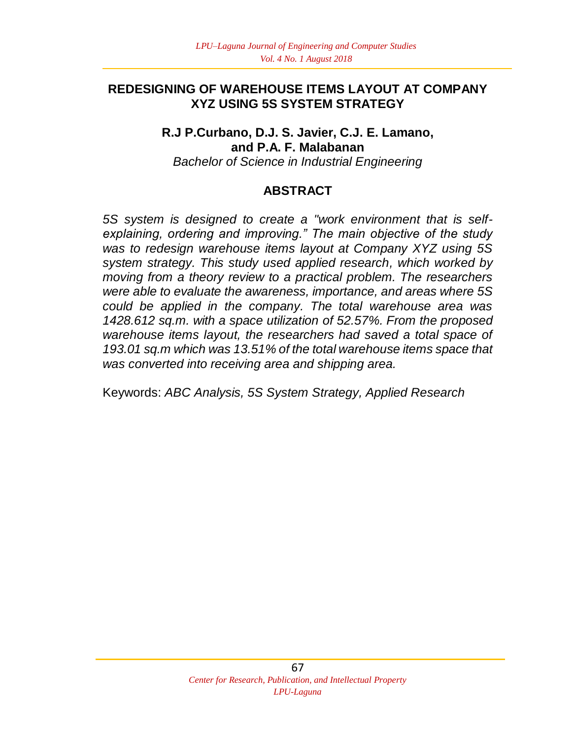#### **REDESIGNING OF WAREHOUSE ITEMS LAYOUT AT COMPANY XYZ USING 5S SYSTEM STRATEGY**

**R.J P.Curbano, D.J. S. Javier, C.J. E. Lamano, and P.A. F. Malabanan** *Bachelor of Science in Industrial Engineering*

#### **ABSTRACT**

*5S system is designed to create a "work environment that is selfexplaining, ordering and improving." The main objective of the study was to redesign warehouse items layout at Company XYZ using 5S system strategy. This study used applied research, which worked by moving from a theory review to a practical problem. The researchers were able to evaluate the awareness, importance, and areas where 5S could be applied in the company. The total warehouse area was 1428.612 sq.m. with a space utilization of 52.57%. From the proposed warehouse items layout, the researchers had saved a total space of 193.01 sq.m which was 13.51% of the total warehouse items space that was converted into receiving area and shipping area.* 

Keywords: *ABC Analysis, 5S System Strategy, Applied Research*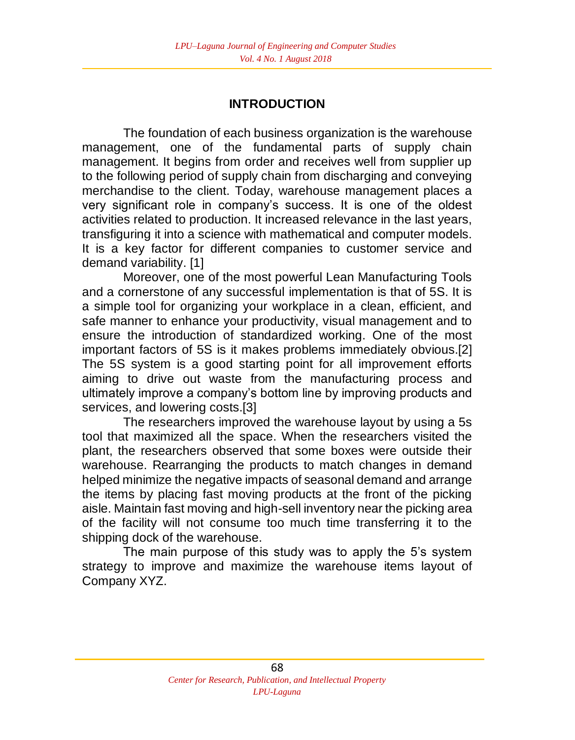#### **INTRODUCTION**

The foundation of each business organization is the warehouse management, one of the fundamental parts of supply chain management. It begins from order and receives well from supplier up to the following period of supply chain from discharging and conveying merchandise to the client. Today, warehouse management places a very significant role in company's success. It is one of the oldest activities related to production. It increased relevance in the last years, transfiguring it into a science with mathematical and computer models. It is a key factor for different companies to customer service and demand variability. [1]

Moreover, one of the most powerful Lean Manufacturing Tools and a cornerstone of any successful implementation is that of 5S. It is a simple tool for organizing your workplace in a clean, efficient, and safe manner to enhance your productivity, visual management and to ensure the introduction of standardized working. One of the most important factors of 5S is it makes problems immediately obvious.[2] The 5S system is a good starting point for all improvement efforts aiming to drive out waste from the manufacturing process and ultimately improve a company's bottom line by improving products and services, and lowering costs.[3]

The researchers improved the warehouse layout by using a 5s tool that maximized all the space. When the researchers visited the plant, the researchers observed that some boxes were outside their warehouse. Rearranging the products to match changes in demand helped minimize the negative impacts of seasonal demand and arrange the items by placing fast moving products at the front of the picking aisle. Maintain fast moving and high-sell inventory near the picking area of the facility will not consume too much time transferring it to the shipping dock of the warehouse.

The main purpose of this study was to apply the 5's system strategy to improve and maximize the warehouse items layout of Company XYZ.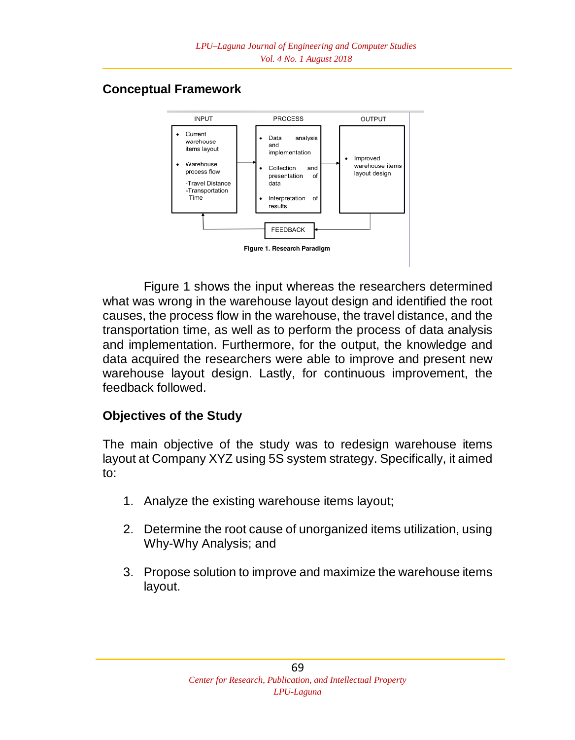# **Conceptual Framework**



Figure 1 shows the input whereas the researchers determined what was wrong in the warehouse layout design and identified the root causes, the process flow in the warehouse, the travel distance, and the transportation time, as well as to perform the process of data analysis and implementation. Furthermore, for the output, the knowledge and data acquired the researchers were able to improve and present new warehouse layout design. Lastly, for continuous improvement, the feedback followed.

### **Objectives of the Study**

The main objective of the study was to redesign warehouse items layout at Company XYZ using 5S system strategy. Specifically, it aimed to:

- 1. Analyze the existing warehouse items layout;
- 2. Determine the root cause of unorganized items utilization, using Why-Why Analysis; and
- 3. Propose solution to improve and maximize the warehouse items layout.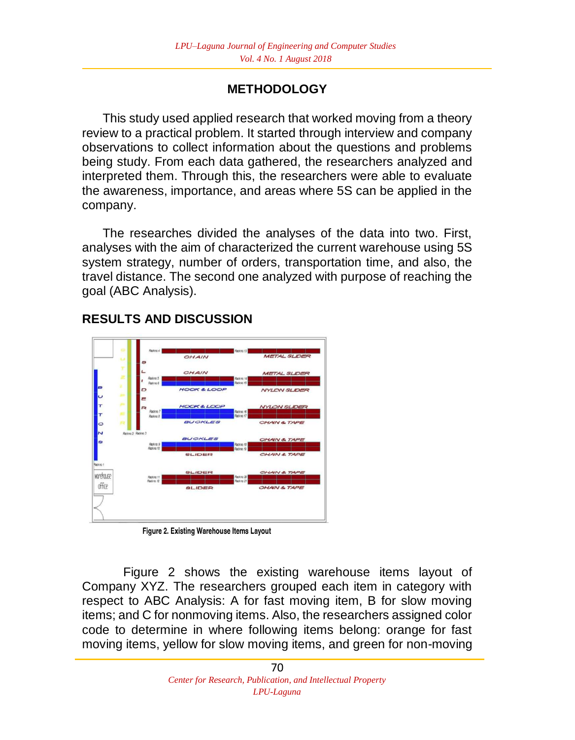# **METHODOLOGY**

This study used applied research that worked moving from a theory review to a practical problem. It started through interview and company observations to collect information about the questions and problems being study. From each data gathered, the researchers analyzed and interpreted them. Through this, the researchers were able to evaluate the awareness, importance, and areas where 5S can be applied in the company.

The researches divided the analyses of the data into two. First, analyses with the aim of characterized the current warehouse using 5S system strategy, number of orders, transportation time, and also, the travel distance. The second one analyzed with purpose of reaching the goal (ABC Analysis).



# **RESULTS AND DISCUSSION**

Figure 2. Existing Warehouse Items Layout

Figure 2 shows the existing warehouse items layout of Company XYZ. The researchers grouped each item in category with respect to ABC Analysis: A for fast moving item, B for slow moving items; and C for nonmoving items. Also, the researchers assigned color code to determine in where following items belong: orange for fast moving items, yellow for slow moving items, and green for non-moving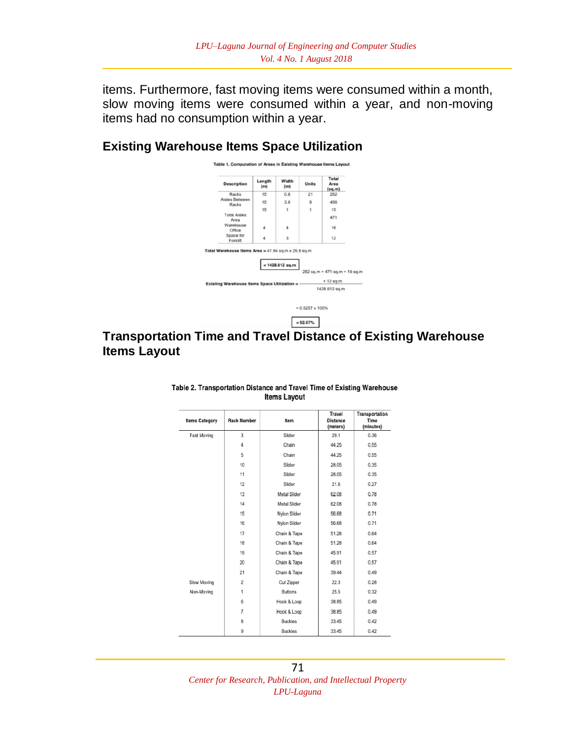items. Furthermore, fast moving items were consumed within a month, slow moving items were consumed within a year, and non-moving items had no consumption within a year.

#### **Existing Warehouse Items Space Utilization**



#### **Transportation Time and Travel Distance of Existing Warehouse Items Layout**

| <b>Items Category</b> | <b>Rack Number</b>      | Item           | Travel<br><b>Distance</b><br>(meters) | Transportation<br>Time<br>(minutes) |
|-----------------------|-------------------------|----------------|---------------------------------------|-------------------------------------|
| Fast Moving           | 3                       | Slider         | 29.1                                  | 0.36                                |
|                       | 4                       | Chain          | 44.25                                 | 0.55                                |
|                       | 5                       | Chain          | 44.25                                 | 0.55                                |
|                       | 10                      | Slider         | 28.05                                 | 0.35                                |
|                       | 11                      | Slider         | 28.05                                 | 0.35                                |
|                       | 12                      | Slider         | 21.6                                  | 0.27                                |
|                       | 13                      | Metal Slider   | 62.08                                 | 0.78                                |
|                       | 14                      | Metal Slider   | 62.08                                 | 0.78                                |
|                       | 15                      | Nylon Slider   | 56.68                                 | 0.71                                |
|                       | 16                      | Nylon Slider   | 56.68                                 | 0.71                                |
|                       | 17                      | Chain & Tape   | 51.28                                 | 0.64                                |
|                       | 18                      | Chain & Tape   | 51.28                                 | 0.64                                |
|                       | 19                      | Chain & Tape   | 45.91                                 |                                     |
|                       | 20                      | Chain & Tape   | 45.91                                 | 0.57                                |
|                       | 21                      | Chain & Tape   | 39.44                                 | 0.49                                |
| Slow Moving           | $\overline{\mathbf{2}}$ | Cut Zipper     | 22.3                                  | 0.28                                |
| Non-Moving            | 1                       | <b>Buttons</b> | 25.5                                  | 0.32                                |
|                       | 6                       | Hook & Loop    | 38.85                                 | 0.49                                |
|                       | $\overline{7}$          | Hook & Loop    | 38.85                                 | 0.49                                |
|                       | 8                       | <b>Buckles</b> | 33.45                                 | 0.42                                |
|                       | 9                       | <b>Buckles</b> | 33.45                                 | 0.42                                |

#### Table 2. Transportation Distance and Travel Time of Existing Warehouse **Items Layout**

71 *Center for Research, Publication, and Intellectual Property LPU-Laguna*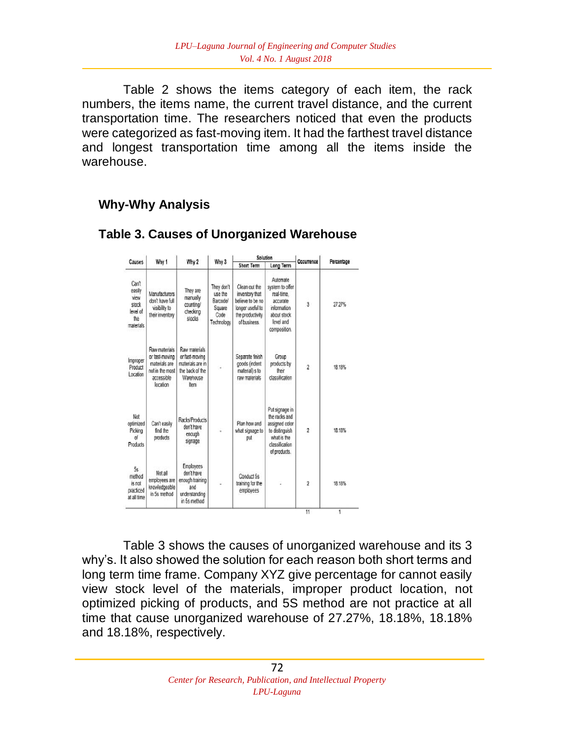Table 2 shows the items category of each item, the rack numbers, the items name, the current travel distance, and the current transportation time. The researchers noticed that even the products were categorized as fast-moving item. It had the farthest travel distance and longest transportation time among all the items inside the warehouse.

 $f(x) = f(x)$ 

#### **Why-Why Analysis**

| <b>Short Term</b><br>Long Term<br>Automate<br>Can't<br>Clean out the<br>They don't<br>system to offer<br>easily<br>They are<br>Manufacturers<br>use the<br>inventory that<br>real-time.<br>view<br>manually<br>don't have full<br>believe to be no<br>Barcode/<br>accurate<br>3<br>27.27%<br>stock<br>counting/<br>visibility to<br>longer useful to<br>information<br>Square<br>level of<br>checking<br>their inventory<br>Code<br>the productivity<br>about stock<br>the<br>stocks<br>level and<br>of business.<br>Technology<br>composition.<br>Raw materials<br>Raw materials<br>Separate finish<br>or fast-moving<br>or fast-moving<br>Group<br>Improper<br>materials are<br>materials are in<br>goods (indent<br>products by<br>$\overline{2}$<br>18.18%<br>Product<br>٠<br>not in the most<br>the back of the<br>material) s to<br>their<br>Location<br>classification<br>accessible<br>Warehouse<br>raw materials<br>location<br>Item<br>Put signage in<br>Not<br>the racks and<br>Racks/Products<br>Can't easily<br>Plan how and<br>assigned color<br>don't have<br>$\overline{2}$<br>18.18%<br>find the<br>what signage to<br>to distinguish<br>Picking<br>enough<br>of<br>what is the<br>products<br>put<br>signage<br>Products<br>classification<br>of products.<br>Employees<br>5s<br>Not all<br>don't have<br>method<br>Conduct 5s<br>employees are<br>enough training<br>$\overline{2}$<br>is not<br>training for the<br>18 18%<br>knowledgeable<br>and<br>employees<br>in 5s method<br>understanding<br>in 5s method |           | Why 1 | Why 2 | Why 3 | polition |  | Occurrence |            |
|--------------------------------------------------------------------------------------------------------------------------------------------------------------------------------------------------------------------------------------------------------------------------------------------------------------------------------------------------------------------------------------------------------------------------------------------------------------------------------------------------------------------------------------------------------------------------------------------------------------------------------------------------------------------------------------------------------------------------------------------------------------------------------------------------------------------------------------------------------------------------------------------------------------------------------------------------------------------------------------------------------------------------------------------------------------------------------------------------------------------------------------------------------------------------------------------------------------------------------------------------------------------------------------------------------------------------------------------------------------------------------------------------------------------------------------------------------------------------------------------------------------------------------------|-----------|-------|-------|-------|----------|--|------------|------------|
|                                                                                                                                                                                                                                                                                                                                                                                                                                                                                                                                                                                                                                                                                                                                                                                                                                                                                                                                                                                                                                                                                                                                                                                                                                                                                                                                                                                                                                                                                                                                      | Causes    |       |       |       |          |  |            | Percentage |
| optimized<br>practiced<br>at all time                                                                                                                                                                                                                                                                                                                                                                                                                                                                                                                                                                                                                                                                                                                                                                                                                                                                                                                                                                                                                                                                                                                                                                                                                                                                                                                                                                                                                                                                                                | materials |       |       |       |          |  |            |            |
|                                                                                                                                                                                                                                                                                                                                                                                                                                                                                                                                                                                                                                                                                                                                                                                                                                                                                                                                                                                                                                                                                                                                                                                                                                                                                                                                                                                                                                                                                                                                      |           |       |       |       |          |  |            |            |
|                                                                                                                                                                                                                                                                                                                                                                                                                                                                                                                                                                                                                                                                                                                                                                                                                                                                                                                                                                                                                                                                                                                                                                                                                                                                                                                                                                                                                                                                                                                                      |           |       |       |       |          |  |            |            |
|                                                                                                                                                                                                                                                                                                                                                                                                                                                                                                                                                                                                                                                                                                                                                                                                                                                                                                                                                                                                                                                                                                                                                                                                                                                                                                                                                                                                                                                                                                                                      |           |       |       |       |          |  |            |            |

#### **Table 3. Causes of Unorganized Warehouse**

Table 3 shows the causes of unorganized warehouse and its 3 why's. It also showed the solution for each reason both short terms and long term time frame. Company XYZ give percentage for cannot easily view stock level of the materials, improper product location, not optimized picking of products, and 5S method are not practice at all time that cause unorganized warehouse of 27.27%, 18.18%, 18.18% and 18.18%, respectively.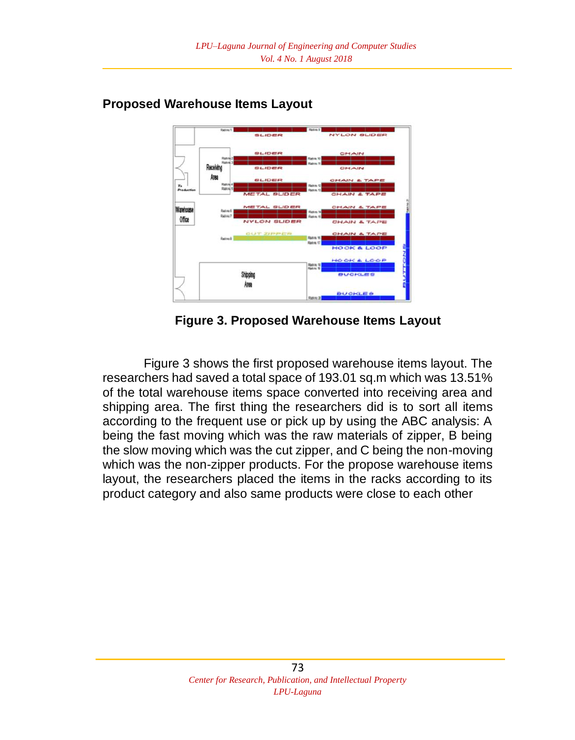

#### **Proposed Warehouse Items Layout**

**Figure 3. Proposed Warehouse Items Layout**

Figure 3 shows the first proposed warehouse items layout. The researchers had saved a total space of 193.01 sq.m which was 13.51% of the total warehouse items space converted into receiving area and shipping area. The first thing the researchers did is to sort all items according to the frequent use or pick up by using the ABC analysis: A being the fast moving which was the raw materials of zipper, B being the slow moving which was the cut zipper, and C being the non-moving which was the non-zipper products. For the propose warehouse items layout, the researchers placed the items in the racks according to its product category and also same products were close to each other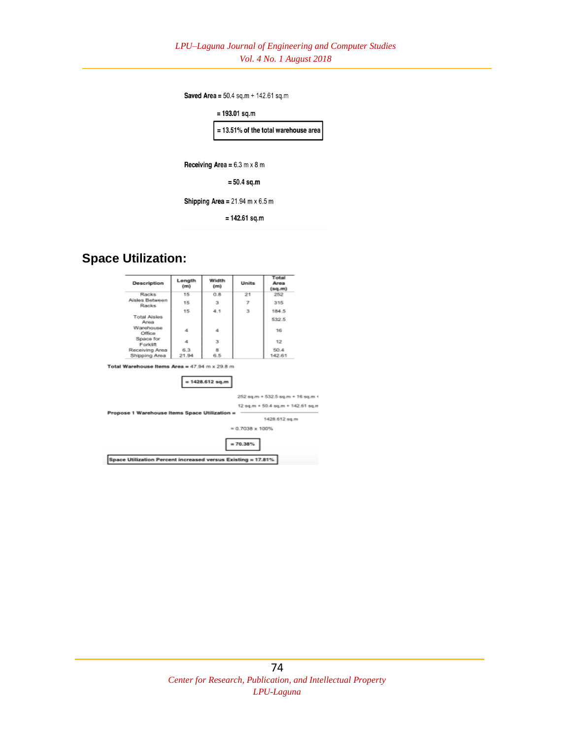Saved Area =  $50.4$  sq.m +  $142.61$  sq.m



 $= 142.61$  sq.m

#### **Space Utilization:**

| Description                                                  | Length<br>(m) | Width<br>(m) | <b>Units</b>             | Total<br>Area<br>(sq.m)           |  |  |
|--------------------------------------------------------------|---------------|--------------|--------------------------|-----------------------------------|--|--|
| Racks                                                        | 15            | 0.8.         | 21                       | 252                               |  |  |
| Aisles Between<br>Racks                                      | 15            | з            | $\overline{\mathcal{E}}$ | 315                               |  |  |
|                                                              | 15            | 4.1          | з                        | 184.5                             |  |  |
| <b>Total Aisles</b><br>Area                                  |               |              |                          | 532.5                             |  |  |
| Warehouse<br>Office                                          | 4             | 4            |                          | 16                                |  |  |
| Space for<br>Forklift                                        | 4             | 3            |                          | 12                                |  |  |
| Receiving Area                                               | 6.3           | $\mathbf{a}$ |                          | 50.4                              |  |  |
| Shipping Area                                                | 21.94         | 6.5          |                          | 142.61                            |  |  |
| $= 1428.612$ sq.m                                            |               |              |                          |                                   |  |  |
|                                                              |               |              |                          | 252 sq.m + 532.5 sq.m + 16 sq.m + |  |  |
| 12 sq.m + 50.4 sq.m + 142.61 sq.m                            |               |              |                          |                                   |  |  |
| Propose 1 Warehouse Items Space Utilization =                |               |              |                          | 1428.612 sq.m                     |  |  |
|                                                              |               |              | $= 0.7038 \times 100\%$  |                                   |  |  |
|                                                              |               |              |                          |                                   |  |  |
|                                                              |               |              | $= 70.38%$               |                                   |  |  |
|                                                              |               |              |                          |                                   |  |  |
| Space Utilization Percent increased versus Existing = 17.81% |               |              |                          |                                   |  |  |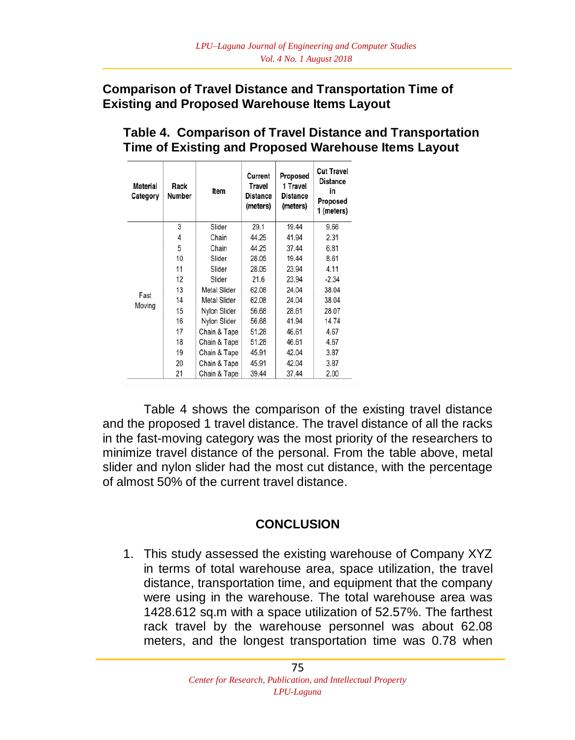#### **Comparison of Travel Distance and Transportation Time of Existing and Proposed Warehouse Items Layout**

| Material<br>Category | Rack<br>Number | Item         | Current<br>Travel<br><b>Distance</b><br>(meters) | Proposed<br>1 Travel<br><b>Distance</b><br>(meters) | <b>Cut Travel</b><br>Distance<br>in<br>Proposed<br>1 (meters) |
|----------------------|----------------|--------------|--------------------------------------------------|-----------------------------------------------------|---------------------------------------------------------------|
|                      | 3              | Slider       | 29.1                                             | 19.44                                               | 9.66                                                          |
|                      | 4              | Chain        | 44.25                                            | 41.94                                               | 2.31                                                          |
|                      | 5              | Chain        | 44.25                                            | 37.44                                               | 6.81                                                          |
|                      | 10             | Slider       | 28.05                                            | 19.44                                               | 8.61                                                          |
|                      | 11             | Slider       | 28.05                                            | 23.94                                               | 4.11                                                          |
|                      | 12             | Slider       | 21.6                                             | 23.94                                               | $-2.34$                                                       |
| Fast                 | 13             | Metal Slider | 62.08                                            | 24.04                                               | 38.04                                                         |
| Moving               | 14             | Metal Slider | 62.08                                            | 24.04                                               | 38.04                                                         |
|                      | 15             | Nylon Slider | 56.68                                            | 28.61                                               | 28.07                                                         |
|                      | 16             | Nylon Slider | 56.68                                            | 41.94                                               | 14.74                                                         |
|                      | 17             | Chain & Tape | 51.28                                            | 46.61                                               | 4.67                                                          |
|                      | 18             | Chain & Tape | 51.28                                            | 46.61                                               | 4.67                                                          |
|                      | 19             | Chain & Tape | 45.91                                            | 42.04                                               | 3.87                                                          |
|                      | 20             | Chain & Tape | 45.91                                            | 42.04                                               | 3.87                                                          |
|                      | 21             | Chain & Tape | 39.44                                            | 37.44                                               | 2.00                                                          |

# **Table 4. Comparison of Travel Distance and Transportation Time of Existing and Proposed Warehouse Items Layout**

Table 4 shows the comparison of the existing travel distance and the proposed 1 travel distance. The travel distance of all the racks in the fast-moving category was the most priority of the researchers to minimize travel distance of the personal. From the table above, metal slider and nylon slider had the most cut distance, with the percentage of almost 50% of the current travel distance.

### **CONCLUSION**

1. This study assessed the existing warehouse of Company XYZ in terms of total warehouse area, space utilization, the travel distance, transportation time, and equipment that the company were using in the warehouse. The total warehouse area was 1428.612 sq.m with a space utilization of 52.57%. The farthest rack travel by the warehouse personnel was about 62.08 meters, and the longest transportation time was 0.78 when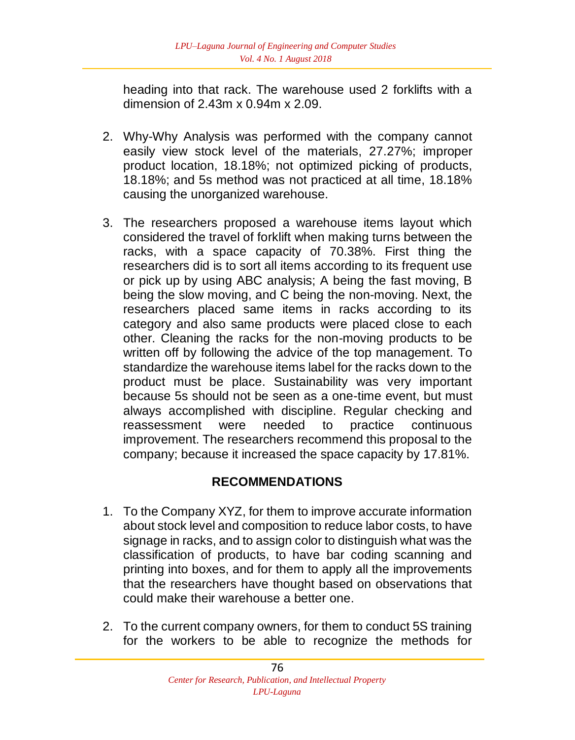heading into that rack. The warehouse used 2 forklifts with a dimension of 2.43m x 0.94m x 2.09.

- 2. Why-Why Analysis was performed with the company cannot easily view stock level of the materials, 27.27%; improper product location, 18.18%; not optimized picking of products, 18.18%; and 5s method was not practiced at all time, 18.18% causing the unorganized warehouse.
- 3. The researchers proposed a warehouse items layout which considered the travel of forklift when making turns between the racks, with a space capacity of 70.38%. First thing the researchers did is to sort all items according to its frequent use or pick up by using ABC analysis; A being the fast moving, B being the slow moving, and C being the non-moving. Next, the researchers placed same items in racks according to its category and also same products were placed close to each other. Cleaning the racks for the non-moving products to be written off by following the advice of the top management. To standardize the warehouse items label for the racks down to the product must be place. Sustainability was very important because 5s should not be seen as a one-time event, but must always accomplished with discipline. Regular checking and reassessment were needed to practice continuous improvement. The researchers recommend this proposal to the company; because it increased the space capacity by 17.81%.

# **RECOMMENDATIONS**

- 1. To the Company XYZ, for them to improve accurate information about stock level and composition to reduce labor costs, to have signage in racks, and to assign color to distinguish what was the classification of products, to have bar coding scanning and printing into boxes, and for them to apply all the improvements that the researchers have thought based on observations that could make their warehouse a better one.
- 2. To the current company owners, for them to conduct 5S training for the workers to be able to recognize the methods for